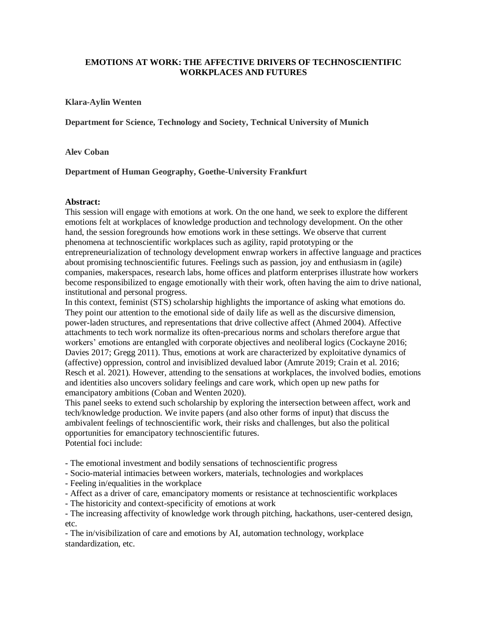# **EMOTIONS AT WORK: THE AFFECTIVE DRIVERS OF TECHNOSCIENTIFIC WORKPLACES AND FUTURES**

### **Klara-Aylin Wenten**

**Department for Science, Technology and Society, Technical University of Munich**

### **Alev Coban**

## **Department of Human Geography, Goethe-University Frankfurt**

### **Abstract:**

This session will engage with emotions at work. On the one hand, we seek to explore the different emotions felt at workplaces of knowledge production and technology development. On the other hand, the session foregrounds how emotions work in these settings. We observe that current phenomena at technoscientific workplaces such as agility, rapid prototyping or the entrepreneurialization of technology development enwrap workers in affective language and practices about promising technoscientific futures. Feelings such as passion, joy and enthusiasm in (agile) companies, makerspaces, research labs, home offices and platform enterprises illustrate how workers become responsibilized to engage emotionally with their work, often having the aim to drive national, institutional and personal progress.

In this context, feminist (STS) scholarship highlights the importance of asking what emotions do. They point our attention to the emotional side of daily life as well as the discursive dimension, power-laden structures, and representations that drive collective affect (Ahmed 2004). Affective attachments to tech work normalize its often-precarious norms and scholars therefore argue that workers' emotions are entangled with corporate objectives and neoliberal logics (Cockayne 2016; Davies 2017; Gregg 2011). Thus, emotions at work are characterized by exploitative dynamics of (affective) oppression, control and invisiblized devalued labor (Amrute 2019; Crain et al. 2016; Resch et al. 2021). However, attending to the sensations at workplaces, the involved bodies, emotions and identities also uncovers solidary feelings and care work, which open up new paths for emancipatory ambitions (Coban and Wenten 2020).

This panel seeks to extend such scholarship by exploring the intersection between affect, work and tech/knowledge production. We invite papers (and also other forms of input) that discuss the ambivalent feelings of technoscientific work, their risks and challenges, but also the political opportunities for emancipatory technoscientific futures. Potential foci include:

- The emotional investment and bodily sensations of technoscientific progress

- Socio-material intimacies between workers, materials, technologies and workplaces

- Feeling in/equalities in the workplace

- Affect as a driver of care, emancipatory moments or resistance at technoscientific workplaces

- The historicity and context-specificity of emotions at work

- The increasing affectivity of knowledge work through pitching, hackathons, user-centered design, etc.

- The in/visibilization of care and emotions by AI, automation technology, workplace standardization, etc.